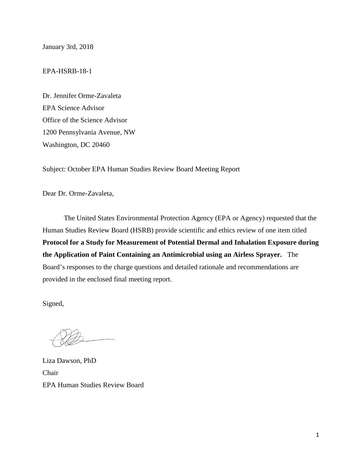January 3rd, 2018

EPA-HSRB-18-1

Dr. Jennifer Orme-Zavaleta EPA Science Advisor Office of the Science Advisor 1200 Pennsylvania Avenue, NW Washington, DC 20460

Subject: October EPA Human Studies Review Board Meeting Report

Dear Dr. Orme-Zavaleta,

The United States Environmental Protection Agency (EPA or Agency) requested that the Human Studies Review Board (HSRB) provide scientific and ethics review of one item titled **Protocol for a Study for Measurement of Potential Dermal and Inhalation Exposure during the Application of Paint Containing an Antimicrobial using an Airless Sprayer.** The Board's responses to the charge questions and detailed rationale and recommendations are provided in the enclosed final meeting report.

Signed,

Liza Dawson, PhD Chair EPA Human Studies Review Board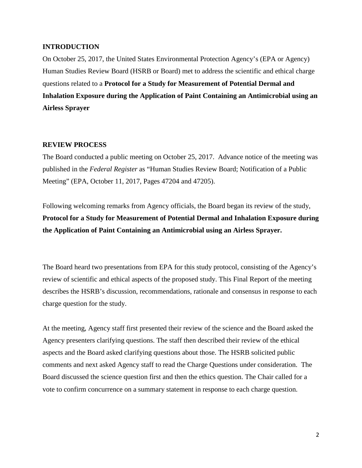## **INTRODUCTION**

On October 25, 2017, the United States Environmental Protection Agency's (EPA or Agency) Human Studies Review Board (HSRB or Board) met to address the scientific and ethical charge questions related to a **Protocol for a Study for Measurement of Potential Dermal and Inhalation Exposure during the Application of Paint Containing an Antimicrobial using an Airless Sprayer**

## **REVIEW PROCESS**

The Board conducted a public meeting on October 25, 2017. Advance notice of the meeting was published in the *Federal Register* as "Human Studies Review Board; Notification of a Public Meeting" (EPA, October 11, 2017, Pages 47204 and 47205).

Following welcoming remarks from Agency officials, the Board began its review of the study, **Protocol for a Study for Measurement of Potential Dermal and Inhalation Exposure during the Application of Paint Containing an Antimicrobial using an Airless Sprayer.**

The Board heard two presentations from EPA for this study protocol, consisting of the Agency's review of scientific and ethical aspects of the proposed study. This Final Report of the meeting describes the HSRB's discussion, recommendations, rationale and consensus in response to each charge question for the study.

At the meeting, Agency staff first presented their review of the science and the Board asked the Agency presenters clarifying questions. The staff then described their review of the ethical aspects and the Board asked clarifying questions about those. The HSRB solicited public comments and next asked Agency staff to read the Charge Questions under consideration. The Board discussed the science question first and then the ethics question. The Chair called for a vote to confirm concurrence on a summary statement in response to each charge question.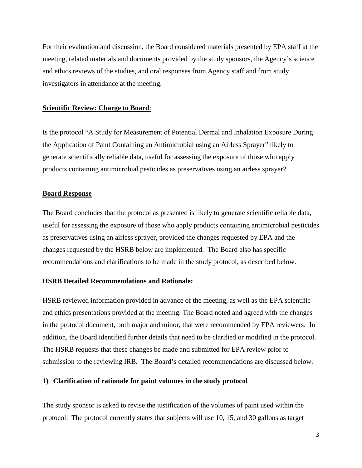For their evaluation and discussion, the Board considered materials presented by EPA staff at the meeting, related materials and documents provided by the study sponsors, the Agency's science and ethics reviews of the studies, and oral responses from Agency staff and from study investigators in attendance at the meeting.

#### **Scientific Review: Charge to Board**:

Is the protocol "A Study for Measurement of Potential Dermal and Inhalation Exposure During the Application of Paint Containing an Antimicrobial using an Airless Sprayer" likely to generate scientifically reliable data, useful for assessing the exposure of those who apply products containing antimicrobial pesticides as preservatives using an airless sprayer?

#### **Board Response**

The Board concludes that the protocol as presented is likely to generate scientific reliable data, useful for assessing the exposure of those who apply products containing antimicrobial pesticides as preservatives using an airless sprayer, provided the changes requested by EPA and the changes requested by the HSRB below are implemented. The Board also has specific recommendations and clarifications to be made in the study protocol, as described below.

### **HSRB Detailed Recommendations and Rationale:**

HSRB reviewed information provided in advance of the meeting, as well as the EPA scientific and ethics presentations provided at the meeting. The Board noted and agreed with the changes in the protocol document, both major and minor, that were recommended by EPA reviewers. In addition, the Board identified further details that need to be clarified or modified in the protocol. The HSRB requests that these changes be made and submitted for EPA review prior to submission to the reviewing IRB. The Board's detailed recommendations are discussed below.

### **1) Clarification of rationale for paint volumes in the study protocol**

The study sponsor is asked to revise the justification of the volumes of paint used within the protocol. The protocol currently states that subjects will use 10, 15, and 30 gallons as target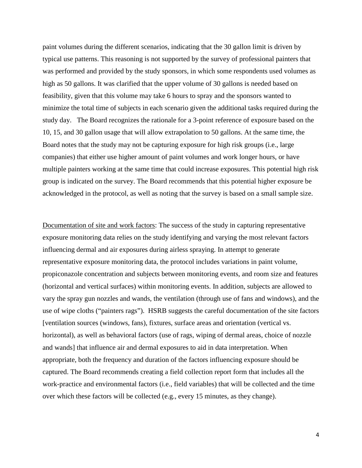paint volumes during the different scenarios, indicating that the 30 gallon limit is driven by typical use patterns. This reasoning is not supported by the survey of professional painters that was performed and provided by the study sponsors, in which some respondents used volumes as high as 50 gallons. It was clarified that the upper volume of 30 gallons is needed based on feasibility, given that this volume may take 6 hours to spray and the sponsors wanted to minimize the total time of subjects in each scenario given the additional tasks required during the study day. The Board recognizes the rationale for a 3-point reference of exposure based on the 10, 15, and 30 gallon usage that will allow extrapolation to 50 gallons. At the same time, the Board notes that the study may not be capturing exposure for high risk groups (i.e., large companies) that either use higher amount of paint volumes and work longer hours, or have multiple painters working at the same time that could increase exposures. This potential high risk group is indicated on the survey. The Board recommends that this potential higher exposure be acknowledged in the protocol, as well as noting that the survey is based on a small sample size.

Documentation of site and work factors: The success of the study in capturing representative exposure monitoring data relies on the study identifying and varying the most relevant factors influencing dermal and air exposures during airless spraying. In attempt to generate representative exposure monitoring data, the protocol includes variations in paint volume, propiconazole concentration and subjects between monitoring events, and room size and features (horizontal and vertical surfaces) within monitoring events. In addition, subjects are allowed to vary the spray gun nozzles and wands, the ventilation (through use of fans and windows), and the use of wipe cloths ("painters rags"). HSRB suggests the careful documentation of the site factors [ventilation sources (windows, fans), fixtures, surface areas and orientation (vertical vs. horizontal), as well as behavioral factors (use of rags, wiping of dermal areas, choice of nozzle and wands] that influence air and dermal exposures to aid in data interpretation. When appropriate, both the frequency and duration of the factors influencing exposure should be captured. The Board recommends creating a field collection report form that includes all the work-practice and environmental factors (i.e., field variables) that will be collected and the time over which these factors will be collected (e.g., every 15 minutes, as they change).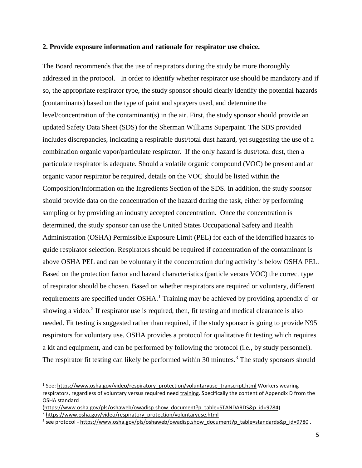### **2. Provide exposure information and rationale for respirator use choice.**

The Board recommends that the use of respirators during the study be more thoroughly addressed in the protocol. In order to identify whether respirator use should be mandatory and if so, the appropriate respirator type, the study sponsor should clearly identify the potential hazards (contaminants) based on the type of paint and sprayers used, and determine the level/concentration of the contaminant(s) in the air. First, the study sponsor should provide an updated Safety Data Sheet (SDS) for the Sherman Williams Superpaint. The SDS provided includes discrepancies, indicating a respirable dust/total dust hazard, yet suggesting the use of a combination organic vapor/particulate respirator. If the only hazard is dust/total dust, then a particulate respirator is adequate. Should a volatile organic compound (VOC) be present and an organic vapor respirator be required, details on the VOC should be listed within the Composition/Information on the Ingredients Section of the SDS. In addition, the study sponsor should provide data on the concentration of the hazard during the task, either by performing sampling or by providing an industry accepted concentration. Once the concentration is determined, the study sponsor can use the United States Occupational Safety and Health Administration (OSHA) Permissible Exposure Limit (PEL) for each of the identified hazards to guide respirator selection. Respirators should be required if concentration of the contaminant is above OSHA PEL and can be voluntary if the concentration during activity is below OSHA PEL. Based on the protection factor and hazard characteristics (particle versus VOC) the correct type of respirator should be chosen. Based on whether respirators are required or voluntary, different requirements are specified under OSHA.<sup>[1](#page-4-0)</sup> Training may be achieved by providing appendix  $d<sup>1</sup>$  or showing a video.<sup>[2](#page-4-1)</sup> If respirator use is required, then, fit testing and medical clearance is also needed. Fit testing is suggested rather than required, if the study sponsor is going to provide N95 respirators for voluntary use. OSHA provides a protocol for qualitative fit testing which requires a kit and equipment, and can be performed by following the protocol (i.e., by study personnel). The respirator fit testing can likely be performed within [3](#page-4-2)0 minutes.<sup>3</sup> The study sponsors should

 $\overline{\phantom{a}}$ 

<span id="page-4-0"></span><sup>&</sup>lt;sup>1</sup> See: [https://www.osha.gov/video/respiratory\\_protection/voluntaryuse\\_transcript.html](https://urldefense.proofpoint.com/v2/url?u=https-3A__www.osha.gov_video_respiratory-5Fprotection_voluntaryuse-5Ftranscript.html&d=DwMGaQ&c=27AKQ-AFTMvLXtgZ7shZqsfSXu-Fwzpqk4BoASshREk&r=5g3xBvOQ7LC412uDXF22aXdsBxXJTKYLEbdnbxDgmQE&m=mHyFt6Ex1PiMBkWGeEJySKaNkJLKbj9YAIAYQbQOAF0&s=mOmT-Qh4jcBK_RS12ODzJTaoEufhoQb4vhQVWCwGwCE&e=) Workers wearing respirators, regardless of voluntary versus required need training. Specifically the content of Appendix D from the OSHA standard

<span id="page-4-1"></span>[<sup>\(</sup>https://www.osha.gov/pls/oshaweb/owadisp.show\\_document?p\\_table=STANDARDS&p\\_id=9784\)](https://urldefense.proofpoint.com/v2/url?u=https-3A__www.osha.gov_pls_oshaweb_owadisp.show-5Fdocument-3Fp-5Ftable-3DSTANDARDS-26p-5Fid-3D9784&d=DwMGaQ&c=27AKQ-AFTMvLXtgZ7shZqsfSXu-Fwzpqk4BoASshREk&r=5g3xBvOQ7LC412uDXF22aXdsBxXJTKYLEbdnbxDgmQE&m=mHyFt6Ex1PiMBkWGeEJySKaNkJLKbj9YAIAYQbQOAF0&s=YAWy2dOZteZZspzDDeu22wYBi1uw6hH3unhRjRnwCjU&e=). <sup>2</sup> [https://www.osha.gov/video/respiratory\\_protection/voluntaryuse.html](https://urldefense.proofpoint.com/v2/url?u=https-3A__www.osha.gov_video_respiratory-5Fprotection_voluntaryuse.html&d=DwMGaQ&c=27AKQ-AFTMvLXtgZ7shZqsfSXu-Fwzpqk4BoASshREk&r=5g3xBvOQ7LC412uDXF22aXdsBxXJTKYLEbdnbxDgmQE&m=mHyFt6Ex1PiMBkWGeEJySKaNkJLKbj9YAIAYQbQOAF0&s=vzaTNcMGjidjN5Wu9rsLyDT0xrX1SrqOb8fQHTdGxIM&e=)

<span id="page-4-2"></span><sup>&</sup>lt;sup>3</sup> see protocol [- https://www.osha.gov/pls/oshaweb/owadisp.show\\_document?p\\_table=standards&p\\_id=9780](https://urldefense.proofpoint.com/v2/url?u=https-3A__www.osha.gov_pls_oshaweb_owadisp.show-5Fdocument-3Fp-5Ftable-3Dstandards-26p-5Fid-3D9780&d=DwMGaQ&c=27AKQ-AFTMvLXtgZ7shZqsfSXu-Fwzpqk4BoASshREk&r=5g3xBvOQ7LC412uDXF22aXdsBxXJTKYLEbdnbxDgmQE&m=mHyFt6Ex1PiMBkWGeEJySKaNkJLKbj9YAIAYQbQOAF0&s=Hx4ewEjfNvVoEE5n3smT6Qa192onBlXTtXs-TjvwCa8&e=) .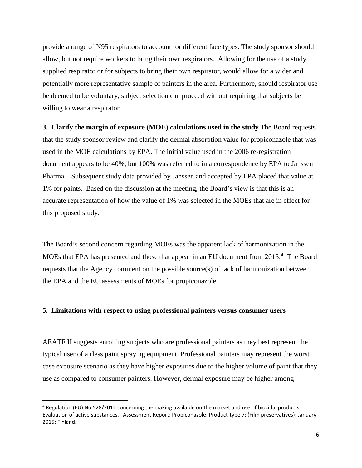provide a range of N95 respirators to account for different face types. The study sponsor should allow, but not require workers to bring their own respirators. Allowing for the use of a study supplied respirator or for subjects to bring their own respirator, would allow for a wider and potentially more representative sample of painters in the area. Furthermore, should respirator use be deemed to be voluntary, subject selection can proceed without requiring that subjects be willing to wear a respirator.

**3. Clarify the margin of exposure (MOE) calculations used in the study** The Board requests that the study sponsor review and clarify the dermal absorption value for propiconazole that was used in the MOE calculations by EPA. The initial value used in the 2006 re-registration document appears to be 40%, but 100% was referred to in a correspondence by EPA to Janssen Pharma. Subsequent study data provided by Janssen and accepted by EPA placed that value at 1% for paints. Based on the discussion at the meeting, the Board's view is that this is an accurate representation of how the value of 1% was selected in the MOEs that are in effect for this proposed study.

The Board's second concern regarding MOEs was the apparent lack of harmonization in the MOEs that EPA has presented and those that appear in an EU document from 2015.<sup>[4](#page-5-0)</sup> The Board requests that the Agency comment on the possible source(s) of lack of harmonization between the EPA and the EU assessments of MOEs for propiconazole.

## **5. Limitations with respect to using professional painters versus consumer users**

l

AEATF II suggests enrolling subjects who are professional painters as they best represent the typical user of airless paint spraying equipment. Professional painters may represent the worst case exposure scenario as they have higher exposures due to the higher volume of paint that they use as compared to consumer painters. However, dermal exposure may be higher among

<span id="page-5-0"></span><sup>4</sup> Regulation (EU) No 528/2012 concerning the making available on the market and use of biocidal products Evaluation of active substances. Assessment Report: Propiconazole; Product-type 7; (Film preservatives); January 2015; Finland.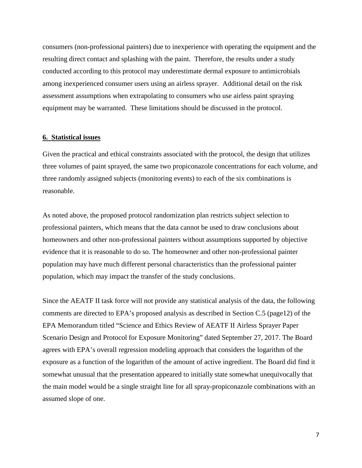consumers (non-professional painters) due to inexperience with operating the equipment and the resulting direct contact and splashing with the paint. Therefore, the results under a study conducted according to this protocol may underestimate dermal exposure to antimicrobials among inexperienced consumer users using an airless sprayer. Additional detail on the risk assessment assumptions when extrapolating to consumers who use airless paint spraying equipment may be warranted. These limitations should be discussed in the protocol.

### **6. Statistical issues**

Given the practical and ethical constraints associated with the protocol, the design that utilizes three volumes of paint sprayed, the same two propiconazole concentrations for each volume, and three randomly assigned subjects (monitoring events) to each of the six combinations is reasonable.

As noted above, the proposed protocol randomization plan restricts subject selection to professional painters, which means that the data cannot be used to draw conclusions about homeowners and other non-professional painters without assumptions supported by objective evidence that it is reasonable to do so. The homeowner and other non-professional painter population may have much different personal characteristics than the professional painter population, which may impact the transfer of the study conclusions.

Since the AEATF II task force will not provide any statistical analysis of the data, the following comments are directed to EPA's proposed analysis as described in Section C.5 (page12) of the EPA Memorandum titled "Science and Ethics Review of AEATF II Airless Sprayer Paper Scenario Design and Protocol for Exposure Monitoring" dated September 27, 2017. The Board agrees with EPA's overall regression modeling approach that considers the logarithm of the exposure as a function of the logarithm of the amount of active ingredient. The Board did find it somewhat unusual that the presentation appeared to initially state somewhat unequivocally that the main model would be a single straight line for all spray-propiconazole combinations with an assumed slope of one.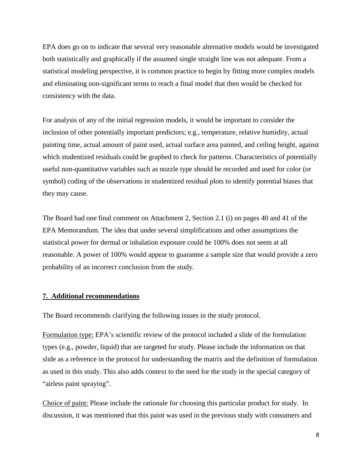EPA does go on to indicate that several very reasonable alternative models would be investigated both statistically and graphically if the assumed single straight line was not adequate. From a statistical modeling perspective, it is common practice to begin by fitting more complex models and eliminating non-significant terms to reach a final model that then would be checked for consistency with the data.

For analysis of any of the initial regression models, it would be important to consider the inclusion of other potentially important predictors; e.g., temperature, relative humidity, actual painting time, actual amount of paint used, actual surface area painted, and ceiling height, against which studentized residuals could be graphed to check for patterns. Characteristics of potentially useful non-quantitative variables such as nozzle type should be recorded and used for color (or symbol) coding of the observations in studentized residual plots to identify potential biases that they may cause.

The Board had one final comment on Attachment 2, Section 2.1 (i) on pages 40 and 41 of the EPA Memorandum. The idea that under several simplifications and other assumptions the statistical power for dermal or inhalation exposure could be 100% does not seem at all reasonable. A power of 100% would appear to guarantee a sample size that would provide a zero probability of an incorrect conclusion from the study.

### **7. Additional recommendations**

The Board recommends clarifying the following issues in the study protocol.

Formulation type: EPA's scientific review of the protocol included a slide of the formulation types (e.g., powder, liquid) that are targeted for study. Please include the information on that slide as a reference in the protocol for understanding the matrix and the definition of formulation as used in this study. This also adds context to the need for the study in the special category of "airless paint spraying".

Choice of paint: Please include the rationale for choosing this particular product for study. In discussion, it was mentioned that this paint was used in the previous study with consumers and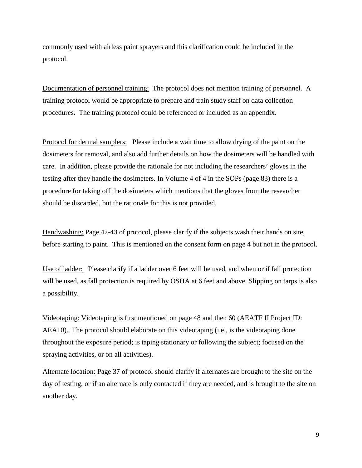commonly used with airless paint sprayers and this clarification could be included in the protocol.

Documentation of personnel training: The protocol does not mention training of personnel. A training protocol would be appropriate to prepare and train study staff on data collection procedures. The training protocol could be referenced or included as an appendix.

Protocol for dermal samplers: Please include a wait time to allow drying of the paint on the dosimeters for removal, and also add further details on how the dosimeters will be handled with care. In addition, please provide the rationale for not including the researchers' gloves in the testing after they handle the dosimeters. In Volume 4 of 4 in the SOPs (page 83) there is a procedure for taking off the dosimeters which mentions that the gloves from the researcher should be discarded, but the rationale for this is not provided.

Handwashing: Page 42-43 of protocol, please clarify if the subjects wash their hands on site, before starting to paint. This is mentioned on the consent form on page 4 but not in the protocol.

Use of ladder: Please clarify if a ladder over 6 feet will be used, and when or if fall protection will be used, as fall protection is required by OSHA at 6 feet and above. Slipping on tarps is also a possibility.

Videotaping: Videotaping is first mentioned on page 48 and then 60 (AEATF II Project ID: AEA10). The protocol should elaborate on this videotaping (i.e., is the videotaping done throughout the exposure period; is taping stationary or following the subject; focused on the spraying activities, or on all activities).

Alternate location: Page 37 of protocol should clarify if alternates are brought to the site on the day of testing, or if an alternate is only contacted if they are needed, and is brought to the site on another day.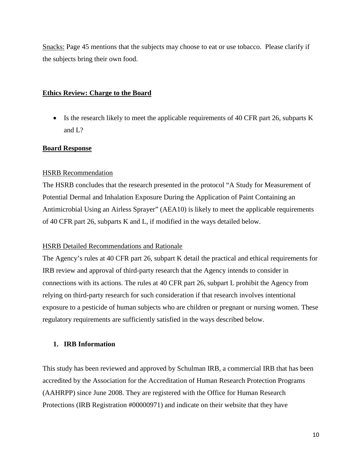Snacks: Page 45 mentions that the subjects may choose to eat or use tobacco. Please clarify if the subjects bring their own food.

# **Ethics Review: Charge to the Board**

• Is the research likely to meet the applicable requirements of 40 CFR part 26, subparts K and L?

# **Board Response**

# HSRB Recommendation

The HSRB concludes that the research presented in the protocol "A Study for Measurement of Potential Dermal and Inhalation Exposure During the Application of Paint Containing an Antimicrobial Using an Airless Sprayer" (AEA10) is likely to meet the applicable requirements of 40 CFR part 26, subparts K and L, if modified in the ways detailed below.

# HSRB Detailed Recommendations and Rationale

The Agency's rules at 40 CFR part 26, subpart K detail the practical and ethical requirements for IRB review and approval of third-party research that the Agency intends to consider in connections with its actions. The rules at 40 CFR part 26, subpart L prohibit the Agency from relying on third-party research for such consideration if that research involves intentional exposure to a pesticide of human subjects who are children or pregnant or nursing women. These regulatory requirements are sufficiently satisfied in the ways described below.

# **1. IRB Information**

This study has been reviewed and approved by Schulman IRB, a commercial IRB that has been accredited by the Association for the Accreditation of Human Research Protection Programs (AAHRPP) since June 2008. They are registered with the Office for Human Research Protections (IRB Registration #00000971) and indicate on their website that they have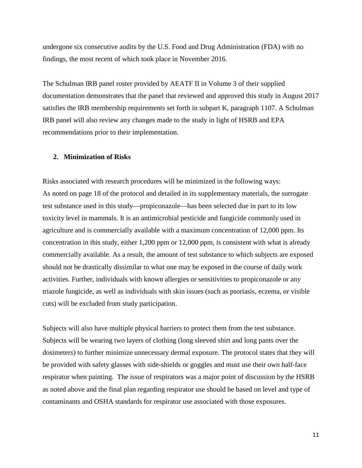undergone six consecutive audits by the U.S. Food and Drug Administration (FDA) with no findings, the most recent of which took place in November 2016.

The Schulman IRB panel roster provided by AEATF II in Volume 3 of their supplied documentation demonstrates that the panel that reviewed and approved this study in August 2017 satisfies the IRB membership requirements set forth in subpart K, paragraph 1107. A Schulman IRB panel will also review any changes made to the study in light of HSRB and EPA recommendations prior to their implementation.

# **2. Minimization of Risks**

Risks associated with research procedures will be minimized in the following ways: As noted on page 18 of the protocol and detailed in its supplementary materials, the surrogate test substance used in this study—propiconazole—has been selected due in part to its low toxicity level in mammals. It is an antimicrobial pesticide and fungicide commonly used in agriculture and is commercially available with a maximum concentration of 12,000 ppm. Its concentration in this study, either 1,200 ppm or 12,000 ppm, is consistent with what is already commercially available. As a result, the amount of test substance to which subjects are exposed should not be drastically dissimilar to what one may be exposed in the course of daily work activities. Further, individuals with known allergies or sensitivities to propiconazole or any triazole fungicide, as well as individuals with skin issues (such as psoriasis, eczema, or visible cuts) will be excluded from study participation.

Subjects will also have multiple physical barriers to protect them from the test substance. Subjects will be wearing two layers of clothing (long sleeved shirt and long pants over the dosimeters) to further minimize unnecessary dermal exposure. The protocol states that they will be provided with safety glasses with side-shields or goggles and must use their own half-face respirator when painting. The issue of respirators was a major point of discussion by the HSRB as noted above and the final plan regarding respirator use should be based on level and type of contaminants and OSHA standards for respirator use associated with those exposures.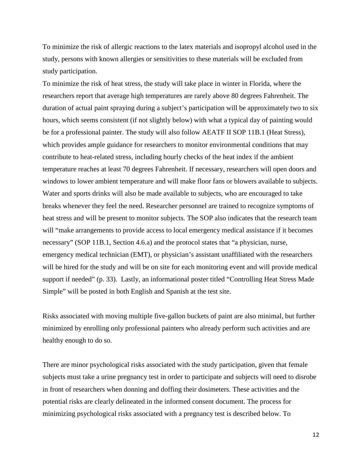To minimize the risk of allergic reactions to the latex materials and isopropyl alcohol used in the study, persons with known allergies or sensitivities to these materials will be excluded from study participation.

To minimize the risk of heat stress, the study will take place in winter in Florida, where the researchers report that average high temperatures are rarely above 80 degrees Fahrenheit. The duration of actual paint spraying during a subject's participation will be approximately two to six hours, which seems consistent (if not slightly below) with what a typical day of painting would be for a professional painter. The study will also follow AEATF II SOP 11B.1 (Heat Stress), which provides ample guidance for researchers to monitor environmental conditions that may contribute to heat-related stress, including hourly checks of the heat index if the ambient temperature reaches at least 70 degrees Fahrenheit. If necessary, researchers will open doors and windows to lower ambient temperature and will make floor fans or blowers available to subjects. Water and sports drinks will also be made available to subjects, who are encouraged to take breaks whenever they feel the need. Researcher personnel are trained to recognize symptoms of heat stress and will be present to monitor subjects. The SOP also indicates that the research team will "make arrangements to provide access to local emergency medical assistance if it becomes necessary" (SOP 11B.1, Section 4.6.a) and the protocol states that "a physician, nurse, emergency medical technician (EMT), or physician's assistant unaffiliated with the researchers will be hired for the study and will be on site for each monitoring event and will provide medical support if needed" (p. 33). Lastly, an informational poster titled "Controlling Heat Stress Made Simple" will be posted in both English and Spanish at the test site.

Risks associated with moving multiple five-gallon buckets of paint are also minimal, but further minimized by enrolling only professional painters who already perform such activities and are healthy enough to do so.

There are minor psychological risks associated with the study participation, given that female subjects must take a urine pregnancy test in order to participate and subjects will need to disrobe in front of researchers when donning and doffing their dosimeters. These activities and the potential risks are clearly delineated in the informed consent document. The process for minimizing psychological risks associated with a pregnancy test is described below. To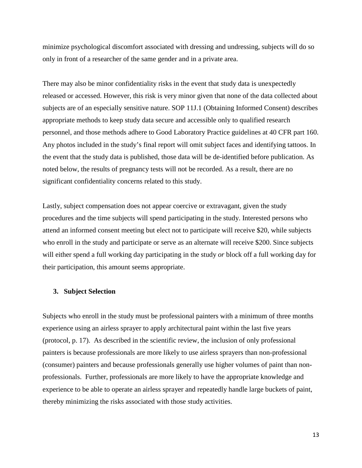minimize psychological discomfort associated with dressing and undressing, subjects will do so only in front of a researcher of the same gender and in a private area.

There may also be minor confidentiality risks in the event that study data is unexpectedly released or accessed. However, this risk is very minor given that none of the data collected about subjects are of an especially sensitive nature. SOP 11J.1 (Obtaining Informed Consent) describes appropriate methods to keep study data secure and accessible only to qualified research personnel, and those methods adhere to Good Laboratory Practice guidelines at 40 CFR part 160. Any photos included in the study's final report will omit subject faces and identifying tattoos. In the event that the study data is published, those data will be de-identified before publication. As noted below, the results of pregnancy tests will not be recorded. As a result, there are no significant confidentiality concerns related to this study.

Lastly, subject compensation does not appear coercive or extravagant, given the study procedures and the time subjects will spend participating in the study. Interested persons who attend an informed consent meeting but elect not to participate will receive \$20, while subjects who enroll in the study and participate or serve as an alternate will receive \$200. Since subjects will either spend a full working day participating in the study *or* block off a full working day for their participation, this amount seems appropriate.

#### **3. Subject Selection**

Subjects who enroll in the study must be professional painters with a minimum of three months experience using an airless sprayer to apply architectural paint within the last five years (protocol, p. 17). As described in the scientific review, the inclusion of only professional painters is because professionals are more likely to use airless sprayers than non-professional (consumer) painters and because professionals generally use higher volumes of paint than nonprofessionals. Further, professionals are more likely to have the appropriate knowledge and experience to be able to operate an airless sprayer and repeatedly handle large buckets of paint, thereby minimizing the risks associated with those study activities.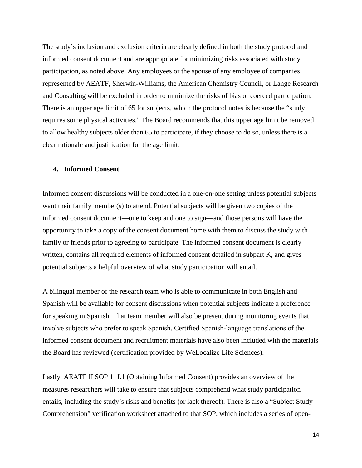The study's inclusion and exclusion criteria are clearly defined in both the study protocol and informed consent document and are appropriate for minimizing risks associated with study participation, as noted above. Any employees or the spouse of any employee of companies represented by AEATF, Sherwin-Williams, the American Chemistry Council, or Lange Research and Consulting will be excluded in order to minimize the risks of bias or coerced participation. There is an upper age limit of 65 for subjects, which the protocol notes is because the "study requires some physical activities." The Board recommends that this upper age limit be removed to allow healthy subjects older than 65 to participate, if they choose to do so, unless there is a clear rationale and justification for the age limit.

## **4. Informed Consent**

Informed consent discussions will be conducted in a one-on-one setting unless potential subjects want their family member(s) to attend. Potential subjects will be given two copies of the informed consent document—one to keep and one to sign—and those persons will have the opportunity to take a copy of the consent document home with them to discuss the study with family or friends prior to agreeing to participate. The informed consent document is clearly written, contains all required elements of informed consent detailed in subpart K, and gives potential subjects a helpful overview of what study participation will entail.

A bilingual member of the research team who is able to communicate in both English and Spanish will be available for consent discussions when potential subjects indicate a preference for speaking in Spanish. That team member will also be present during monitoring events that involve subjects who prefer to speak Spanish. Certified Spanish-language translations of the informed consent document and recruitment materials have also been included with the materials the Board has reviewed (certification provided by WeLocalize Life Sciences).

Lastly, AEATF II SOP 11J.1 (Obtaining Informed Consent) provides an overview of the measures researchers will take to ensure that subjects comprehend what study participation entails, including the study's risks and benefits (or lack thereof). There is also a "Subject Study Comprehension" verification worksheet attached to that SOP, which includes a series of open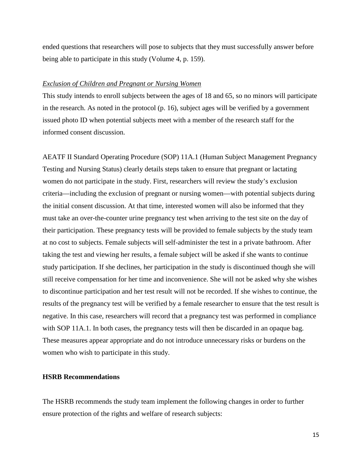ended questions that researchers will pose to subjects that they must successfully answer before being able to participate in this study (Volume 4, p. 159).

### *Exclusion of Children and Pregnant or Nursing Women*

This study intends to enroll subjects between the ages of 18 and 65, so no minors will participate in the research. As noted in the protocol (p. 16), subject ages will be verified by a government issued photo ID when potential subjects meet with a member of the research staff for the informed consent discussion.

AEATF II Standard Operating Procedure (SOP) 11A.1 (Human Subject Management Pregnancy Testing and Nursing Status) clearly details steps taken to ensure that pregnant or lactating women do not participate in the study. First, researchers will review the study's exclusion criteria—including the exclusion of pregnant or nursing women—with potential subjects during the initial consent discussion. At that time, interested women will also be informed that they must take an over-the-counter urine pregnancy test when arriving to the test site on the day of their participation. These pregnancy tests will be provided to female subjects by the study team at no cost to subjects. Female subjects will self-administer the test in a private bathroom. After taking the test and viewing her results, a female subject will be asked if she wants to continue study participation. If she declines, her participation in the study is discontinued though she will still receive compensation for her time and inconvenience. She will not be asked why she wishes to discontinue participation and her test result will not be recorded. If she wishes to continue, the results of the pregnancy test will be verified by a female researcher to ensure that the test result is negative. In this case, researchers will record that a pregnancy test was performed in compliance with SOP 11A.1. In both cases, the pregnancy tests will then be discarded in an opaque bag. These measures appear appropriate and do not introduce unnecessary risks or burdens on the women who wish to participate in this study.

# **HSRB Recommendations**

The HSRB recommends the study team implement the following changes in order to further ensure protection of the rights and welfare of research subjects: